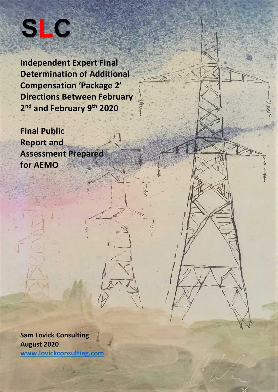

**Independent Expert Final Determination of Additional Compensation 'Package 2' Directions Between February 2 nd and February 9 th 2020**

**Final Public Report and Assessment Prepared for AEMO**

**Sam Lovick Consulting August 2020 [www.lovickconsulting.com](http://www.lovickconsulting.com/)**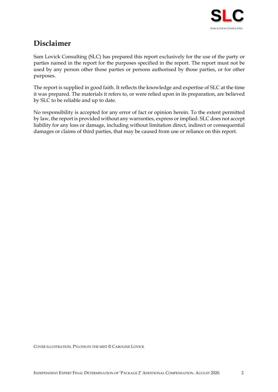

# **Disclaimer**

Sam Lovick Consulting (SLC) has prepared this report exclusively for the use of the party or parties named in the report for the purposes specified in the report. The report must not be used by any person other those parties or persons authorised by those parties, or for other purposes.

The report is supplied in good faith. It reflects the knowledge and expertise of SLC at the time it was prepared. The materials it refers to, or were relied upon in its preparation, are believed by SLC to be reliable and up to date.

No responsibility is accepted for any error of fact or opinion herein. To the extent permitted by law, the report is provided without any warranties, express or implied. SLC does not accept liability for any loss or damage, including without limitation direct, indirect or consequential damages or claims of third parties, that may be caused from use or reliance on this report.

COVER ILLUSTRATION. PYLONS IN THE MIST © CAROLINE LOVICK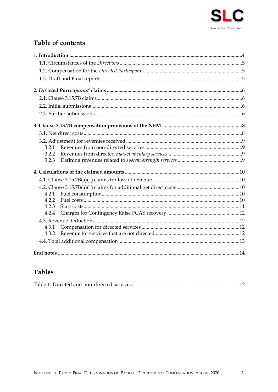

# Table of contents

| 3.2.1 |  |
|-------|--|
| 3.2.2 |  |
| 3.2.3 |  |
|       |  |
|       |  |
|       |  |
| 4.2.1 |  |
| 4.2.2 |  |
| 4.2.3 |  |
| 4.2.4 |  |
|       |  |
| 4.3.1 |  |
| 4.3.2 |  |
|       |  |
|       |  |

## **Tables**

|--|--|--|--|--|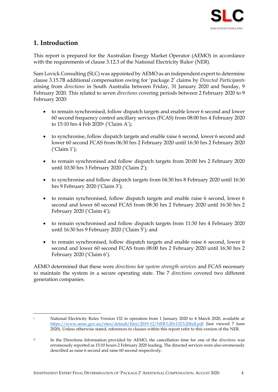

## <span id="page-3-0"></span>**1. Introduction**

This report is prepared for the Australian Energy Market Operator (AEMO) in accordance with the requirements of clause 3.12.3 of the National Electricity Rules<sup>i</sup> (NER).

Sam Lovick Consulting (SLC) was appointed by AEMO as an independent expert to determine clause 3.15.7B additional compensation owing for 'package 2' claims by *Directed Participants* arising from *directions* in South Australia between Friday, 31 January 2020 and Sunday, 9 February 2020. This related to seven *directions* covering periods between 2 February 2020 to 9 February 2020:

- to remain synchronised, follow dispatch targets and enable lower 6 second and lower 60 second frequency control ancillary services (FCAS) from 08:00 hrs 4 February 2020 to 15:10 hrs 4 Feb 2020ii ('Claim A');
- to synchronise, follow dispatch targets and enable raise 6 second, lower 6 second and lower 60 second FCAS from 06:30 hrs 2 February 2020 until 16:30 hrs 2 February 2020 ('Claim 1');
- to remain synchronised and follow dispatch targets from 20:00 hrs 2 February 2020 until 10:30 hrs 3 February 2020 ('Claim 2');
- to synchronise and follow dispatch targets from 04:30 hrs 8 February 2020 until 16:30 hrs 9 February 2020 ('Claim 3');
- to remain synchronised, follow dispatch targets and enable raise 6 second, lower 6 second and lower 60 second FCAS from 08:30 hrs 2 February 2020 until 16:30 hrs 2 February 2020 ('Claim 4');
- to remain synchronised and follow dispatch targets from 11:30 hrs 4 February 2020 until 16:30 hrs 9 February 2020 ('Claim 5'); and
- to remain synchronised, follow dispatch targets and enable raise 6 second, lower 6 second and lower 60 second FCAS from 08:00 hrs 2 February 2020 until 16:30 hrs 2 February 2020 ('Claim 6').

AEMO determined that these were *directions* for *system strength services* and FCAS necessary to maintain the system in a secure operating state. The 7 *directions* covered two different generation companies.

National Electricity Rules Version 132 in operation from 1 January 2020 to 4 March 2020, available at <https://www.aemc.gov.au/sites/default/files/2019-12/NER%20v132%20full.pdf> (last viewed 7 June 2020). Unless otherwise stated, references to clauses within this report refer to this version of the NER.

ii In the Directions Information provided by AEMO, the cancellation time for one of the *directions* was erroneously reported as 15:10 hours 2 February 2020 leading. The directed services were also erroneously described as raise 6 second and raise 60 second respectively.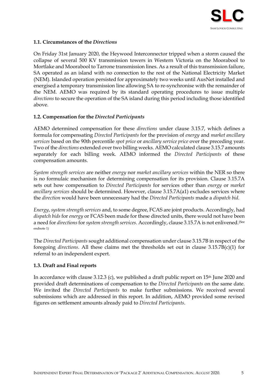

#### <span id="page-4-0"></span>**1.1. Circumstances of the** *Directions*

On Friday 31st January 2020, the Heywood Interconnector tripped when a storm caused the collapse of several 500 KV transmission towers in Western Victoria on the Moorabool to Mortlake and Moorabool to Tarrone transmission lines. As a result of this transmission failure, SA operated as an island with no connection to the rest of the National Electricity Market (NEM). Islanded operation persisted for approximately two weeks until AusNet installed and energised a temporary transmission line allowing SA to re-synchronise with the remainder of the NEM. AEMO was required by its standard operating procedures to issue multiple *directions* to secure the operation of the SA island during this period including those identified above.

#### <span id="page-4-1"></span>**1.2. Compensation for the** *Directed Participants*

AEMO determined compensation for these *directions* under clause 3.15.7, which defines a formula for compensating *Directed Participants* for the provision of *energy* and *market ancillary services* based on the 90th percentile *spot price* or *ancillary service price* over the preceding year. Two of the *directions* extended over two billing weeks. AEMO calculated clause 3.15.7 amounts separately for each billing week. AEMO informed the *Directed Participants* of these compensation amounts.

*System strength services* are neither *energy* nor *market ancillary services* within the NER so there is no formulaic mechanism for determining compensation for its provision. Clause 3.15.7A sets out how compensation to *Directed Participants* for services other than *energy* or *market ancillary services* should be determined. However, clause 3.15.7A(a1) excludes services where the *direction* would have been unnecessary had the *Directed Participants* made a *dispatch bid*.

*Energy*, *system strength services* and, to some degree, FCAS are joint products. Accordingly, had *dispatch bids* for *energy* or FCAS been made for these directed units, there would not have been a need for *directions* for *system strength services*. Accordingly, clause 3.15.7A is not enlivened.<sup>(See</sup> endnote 1)

<span id="page-4-3"></span>The *Directed Participants* sought additional compensation under clause 3.15.7B in respect of the foregoing *directions*. All these claims met the thresholds set out in clause 3.15.7B(c)(1) for referral to an independent expert.

#### <span id="page-4-2"></span>**1.3. Draft and Final reports**

In accordance with clause 3.12.3 (c), we published a draft public report on 15<sup>th</sup> June 2020 and provided draft determinations of compensation to the *Directed Participants* on the same date. We invited the *Directed Participants* to make further submissions. We received several submissions which are addressed in this report. In addition, AEMO provided some revised figures on settlement amounts already paid to *Directed Participants*.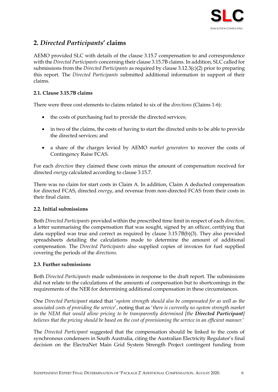

## <span id="page-5-0"></span>**2.** *Directed Participants***' claims**

AEMO provided SLC with details of the clause 3.15.7 compensation to and correspondence with the *Directed Participants* concerning their clause 3.15.7B claims. In addition, SLC called for submissions from the *Directed Participants* as required by clause 3.12.3(c)(2) prior to preparing this report. The *Directed Participants* submitted additional information in support of their claims.

#### <span id="page-5-1"></span>**2.1. Clause 3.15.7B claims**

There were three cost elements to claims related to six of the *directions* (Claims 1-6):

- the costs of purchasing fuel to provide the directed services;
- in two of the claims, the costs of having to start the directed units to be able to provide the directed services; and
- a share of the charges levied by AEMO *market generators* to recover the costs of Contingency Raise FCAS.

For each *direction* they claimed these costs minus the amount of compensation received for directed *energy* calculated according to clause 3.15.7.

There was no claim for start costs in Claim A. In addition, Claim A deducted compensation for directed FCAS, directed *energy*, and revenue from non-directed FCAS from their costs in their final claim.

#### <span id="page-5-2"></span>**2.2. Initial submissions**

Both *Directed Participants* provided within the prescribed time limit in respect of each *direction*, a letter summarising the compensation that was sought, signed by an officer, certifying that data supplied was true and correct as required by clause 3.15.7B(b)(3). They also provided spreadsheets detailing the calculations made to determine the amount of additional compensation. The *Directed Participants* also supplied copies of invoices for fuel supplied covering the periods of the *directions.*

#### <span id="page-5-3"></span>**2.3. Further submissions**

Both *Directed Participants* made submissions in response to the draft report. The submissions did not relate to the calculations of the amounts of compensation but to shortcomings in the requirements of the NER for determining additional compensation in these circumstances.

One *Directed Participant* stated that '*system strength should also be compensated for as well as the associated costs of providing the service*', noting that as '*there is currently no system strength market in the NEM that would allow pricing to be transparently determined [the Directed Participant] believes that the pricing should be based on the cost of provisioning the service in an efficient manner.*'

The *Directed Participant* suggested that the compensation should be linked to the costs of synchronous condensers in South Australia, citing the Australian Electricity Regulator's final decision on the ElectraNet Main Grid System Strength Project contingent funding from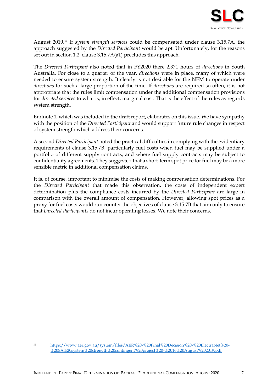

August 2019. iii If *system strength services* could be compensated under clause 3.15.7A, the approach suggested by the *Directed Participant* would be apt. Unfortunately, for the reasons set out in section [1.2,](#page-4-1) clause 3.15.7A(a1) precludes this approach.

The *Directed Participant* also noted that in FY2020 there 2,371 hours of *directions* in South Australia. For close to a quarter of the year, *directions* were in place, many of which were needed to ensure system strength. It clearly is not desirable for the NEM to operate under *directions* for such a large proportion of the time. If *directions* are required so often, it is not appropriate that the rules limit compensation under the additional compensation provisions for *directed services* to what is, in effect, marginal cost. That is the effect of the rules as regards system strength.

Endnot[e 1,](#page-4-3) which was included in the draft report, elaborates on this issue. We have sympathy with the position of the *Directed Participant* and would support future rule changes in respect of system strength which address their concerns.

A second *Directed Participant* noted the practical difficulties in complying with the evidentiary requirements of clause 3.15.7B, particularly fuel costs when fuel may be supplied under a portfolio of different supply contracts, and where fuel supply contracts may be subject to confidentiality agreements. They suggested that a short-term spot price for fuel may be a more sensible metric in additional compensation claims.

It is, of course, important to minimise the costs of making compensation determinations. For the *Directed Participant* that made this observation, the costs of independent expert determination plus the compliance costs incurred by the *Directed Participant* are large in comparison with the overall amount of compensation. However, allowing spot prices as a proxy for fuel costs would run counter the objectives of clause 3.15.7B that aim only to ensure that *Directed Participants* do not incur operating losses. We note their concerns.

iii [https://www.aer.gov.au/system/files/AER%20-%20Final%20Decision%20-%20ElectraNet%20-](https://www.aer.gov.au/system/files/AER%20-%20Final%20Decision%20-%20ElectraNet%20-%20SA%20system%20strength%20contingent%20project%20-%2016%20August%202019.pdf) [%20SA%20system%20strength%20contingent%20project%20-%2016%20August%202019.pdf](https://www.aer.gov.au/system/files/AER%20-%20Final%20Decision%20-%20ElectraNet%20-%20SA%20system%20strength%20contingent%20project%20-%2016%20August%202019.pdf)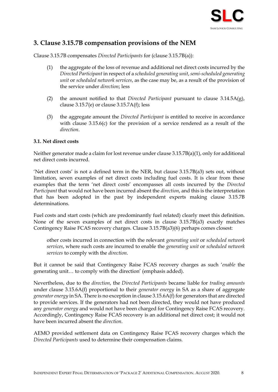

## <span id="page-7-0"></span>**3. Clause 3.15.7B compensation provisions of the NEM**

Clause 3.15.7B compensates *Directed Participants* for (clause 3.15.7B(a)):

- (1) the aggregate of the loss of revenue and additional net direct costs incurred by the *Directed Participant* in respect of a *scheduled generating unit*, *semi-scheduled generating unit* or *scheduled network services*, as the case may be, as a result of the provision of the service under *direction*; less
- (2) the amount notified to that *Directed Participant* pursuant to clause 3.14.5A(g), clause  $3.15.7$ (e) or clause  $3.15.7$ A(f); less
- (3) the aggregate amount the *Directed Participant* is entitled to receive in accordance with clause 3.15.6(c) for the provision of a service rendered as a result of the *direction*.

#### <span id="page-7-1"></span>**3.1. Net direct costs**

Neither generator made a claim for lost revenue under clause 3.15.7B(a)(1), only for additional net direct costs incurred.

'Net direct costs' is not a defined term in the NER, but clause 3.15.7B(a3) sets out, without limitation, seven examples of net direct costs including fuel costs. It is clear from these examples that the term 'net direct costs' encompasses all costs incurred by the *Directed Participant* that would not have been incurred absent the *direction*, and this is the interpretation that has been adopted in the past by independent experts making clause 3.15.7B determinations.

Fuel costs and start costs (which are predominantly fuel related) clearly meet this definition. None of the seven examples of net direct costs in clause 3.15.7B(a3) exactly matches Contingency Raise FCAS recovery charges. Clause 3.15.7B(a3)(6) perhaps comes closest:

other costs incurred in connection with the relevant *generating unit* or *scheduled network services*, where such costs are incurred to enable the *generating unit* or *scheduled network services* to comply with the *direction*.

But it cannot be said that Contingency Raise FCAS recovery charges as such '*enable* the generating unit… to comply with the direction' (emphasis added).

Nevertheless, due to the *direction*, the *Directed Participants* became liable for *trading amounts* under clause 3.15.6A(f) proportional to their *generator energy* in SA as a share of aggregate *generator energy* in SA. There is no exception in clause 3.15.6A(f) for generators that are directed to provide services. If the generators had not been directed, they would not have produced any *generator energy* and would not have been charged for Contingency Raise FCAS recovery. Accordingly, Contingency Raise FCAS recovery is an additional net direct cost; it would not have been incurred absent the *direction*.

AEMO provided settlement data on Contingency Raise FCAS recovery charges which the *Directed Participants* used to determine their compensation claims.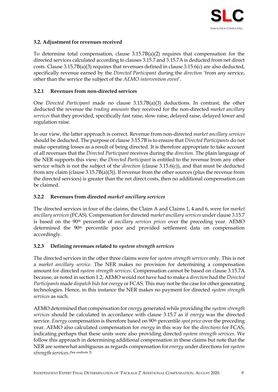

#### <span id="page-8-0"></span>**3.2. Adjustment for revenues received**

To determine total compensation, clause 3.15.7B(a)(2) requires that compensation for the directed services calculated according to clauses 3.15.7 and 3.15.7A is deducted from net direct costs. Clause 3.15.7B(a)(3) requires that revenues defined in clause 3.15.6(c) are also deducted, specifically revenue earned by the *Directed Participant* during the *direction* 'from any service, other than the service the subject of the *AEMO intervention event*'.

#### <span id="page-8-1"></span>**3.2.1 Revenues from non-directed services**

One *Directed Participant* made no clause 3.15.7B(a)(3) deductions. In contrast, the other deducted the revenue the *trading amounts* they received for the non-directed *market ancillary services* that they provided, specifically fast raise, slow raise, delayed raise, delayed lower and regulation raise.

In our view, the latter approach is correct. Revenue from non-directed *market ancillary services*  should be deducted. The purpose of clause 3.15.7B is to ensure that *Directed Participants* do not make operating losses as a result of being directed. It is therefore appropriate to take account of all revenues that the *Directed Participant* receives during the *direction*. The plain language of the NER supports this view; the *Directed Participant* is entitled to the revenue from any other service which is not the subject of the *direction* (clause 3.15.6(c)), and that must be deducted from any claim (clause 3.15.7B(a)(3)). If revenue from the other sources (plus the revenue from the directed services) is greater than the net direct costs, then no additional compensation can be claimed.

#### <span id="page-8-2"></span>**3.2.2 Revenues from directed** *market ancillary services*

The directed services in four of the claims, the Claim A and Claims 1, 4 and 6, were for *market ancillary services* (FCAS). Compensation for directed *market ancillary services* under clause 3.15.7 is based on the 90th percentile of *ancillary services prices* over the preceding year. AEMO determined the 90<sup>th</sup> percentile price and provided settlement data on compensation accordingly.

#### <span id="page-8-3"></span>**3.2.3 Defining revenues related to** *system strength services*

The directed services in the other three claims were for *system strength services* only. This is not a *market ancillary service*. The NER makes no provision for determining a compensation amount for directed *system strength services*. Compensation cannot be based on clause 3.15.7A because, as noted in sectio[n 1.2,](#page-4-1) AEMO would not have had to make a *direction* had the *Directed Participants* made *dispatch bids*for *energy* or FCAS. This may not be the case for other generating technologies. Hence, in this instance the NER makes no payment for directed *system strength services* as such.

AEMO determined that compensation for *energy* generated while providing the *system strength services* should be calculated in accordance with clause 3.15.7 as if *energy* was the directed service. *Energy* compensation is therefore based on 90th percentile *spot price* over the preceding year. AEMO also calculated compensation for *energy* in this way for the *directions* for FCAS, indicating perhaps that these units were also providing directed *system strength services*. We follow this approach in determining additional compensation in these claims but note that the NER are somewhat ambiguous as regards compensation for *energy* under directions for *system strength services*. (See endnote 2)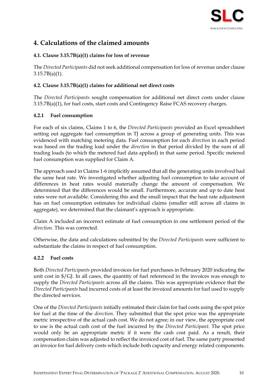

## <span id="page-9-0"></span>**4. Calculations of the claimed amounts**

#### <span id="page-9-1"></span>**4.1. Clause 3.15.7B(a)(1) claims for loss of revenue**

The *Directed Participants* did not seek additional compensation for loss of revenue under clause  $3.15.7B(a)(1)$ .

#### <span id="page-9-2"></span>**4.2. Clause 3.15.7B(a)(1) claims for additional net direct costs**

The *Directed Participants* sought compensation for additional net direct costs under clause 3.15.7B(a)(1), for fuel costs, start costs and Contingency Raise FCAS recovery charges.

#### <span id="page-9-3"></span>**4.2.1 Fuel consumption**

For each of six claims, Claims 1 to 6, the *Directed Participants* provided an Excel spreadsheet setting out aggregate fuel consumption in TJ across a group of generating units. This was evidenced with matching metering data. Fuel consumption for each *direction* in each period was based on the trading load under the *direction* in that period divided by the sum of all trading loads (to which the metered fuel data applied) in that same period. Specific metered fuel consumption was supplied for Claim A.

The approach used in Claims 1-6 implicitly assumed that all the generating units involved had the same heat rate. We investigated whether adjusting fuel consumption to take account of differences in heat rates would materially change the amount of compensation. We determined that the differences would be small. Furthermore, accurate and up to date heat rates were not available. Considering this and the small impact that the heat rate adjustment has on fuel consumption estimates for individual claims (smaller still across all claims in aggregate), we determined that the claimant's approach is appropriate.

Claim A included an incorrect estimate of fuel consumption in one settlement period of the *direction.* This was corrected.

Otherwise, the data and calculations submitted by the *Directed Participants* were sufficient to substantiate the claims in respect of fuel consumption.

#### <span id="page-9-4"></span>**4.2.2 Fuel costs**

Both *Directed Participants* provided invoices for fuel purchases in February 2020 indicating the unit cost in \$/GJ. In all cases, the quantity of fuel referenced in the invoices was enough to supply the *Directed Participants* across all the claims. This was appropriate evidence that the *Directed Participants* had incurred costs of at least the invoiced amounts for fuel used to supply the directed services.

One of the *Directed Participants* initially estimated their claim for fuel costs using the spot price for fuel at the time of the *direction*. They submitted that the spot price was the appropriate metric irrespective of the actual cash cost. We do not agree; in our view, the appropriate cost to use is the actual cash cost of the fuel incurred by the *Directed Participant*. The spot price would only be an appropriate metric if it were the cash cost paid*.* As a result, their compensation claim was adjusted to reflect the invoiced cost of fuel. The same party presented an invoice for fuel delivery costs which include both capacity and energy related components.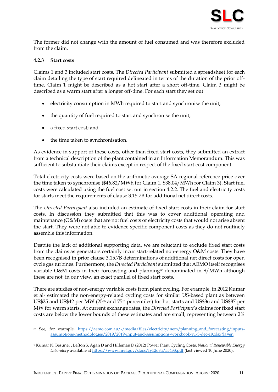

The former did not change with the amount of fuel consumed and was therefore excluded from the claim.

#### <span id="page-10-0"></span>**4.2.3 Start costs**

Claims 1 and 3 included start costs. The *Directed Participant* submitted a spreadsheet for each claim detailing the type of start required delineated in terms of the duration of the prior offtime. Claim 1 might be described as a hot start after a short off-time. Claim 3 might be described as a warm start after a longer off-time. For each start they set out

- electricity consumption in MWh required to start and synchronise the unit;
- the quantity of fuel required to start and synchronise the unit;
- a fixed start cost; and
- the time taken to synchronisation.

As evidence in support of these costs, other than fixed start costs, they submitted an extract from a technical description of the plant contained in an Information Memorandum. This was sufficient to substantiate their claims except in respect of the fixed start cost component.

Total electricity costs were based on the arithmetic average SA regional reference price over the time taken to synchronise (\$46.82/MWh for Claim 1, \$38.04/MWh for Claim 3). Start fuel costs were calculated using the fuel cost set out in section [4.2.2.](#page-9-4) The fuel and electricity costs for starts meet the requirements of clause 3.15.7B for additional net direct costs.

The *Directed Participant* also included an estimate of fixed start costs in their claim for start costs. In discussion they submitted that this was to cover additional operating and maintenance (O&M) costs that are not fuel costs or electricity costs that would not arise absent the start. They were not able to evidence specific component costs as they do not routinely assemble this information.

Despite the lack of additional supporting data, we are reluctant to exclude fixed start costs from the claims as generators certainly incur start-related non-energy O&M costs. They have been recognised in prior clause 3.15.7B determinations of additional net direct costs for open cycle gas turbines. Furthermore, the *Directed Participant* submitted that AEMO itself recognises variable O&M costs in their forecasting and planningiv denominated in \$/MWh although these are not, in our view, an exact parallel of fixed start costs.

There are studies of non-energy variable costs from plant cycling. For example, in 2012 Kumar et al<sup>v</sup> estimated the non-energy-related cycling costs for similar US-based plant as between US\$25 and US\$42 per MW (25th and 75th percentiles) for hot starts and US\$36 and US\$87 per MW for warm starts. At current exchange rates, the *Directed Participant's* claims for fixed start costs are below the lower bounds of these estimates and are small, representing between 2%

iv See, for example, https://aemo.com.au/-/media/files/electricity/nem/planning and forecasting/inputs[assumptions-methodologies/2019/2019-input-and-assumptions-workbook-v1-3-dec-19.xlsx?la=en](https://aemo.com.au/-/media/files/electricity/nem/planning_and_forecasting/inputs-assumptions-methodologies/2019/2019-input-and-assumptions-workbook-v1-3-dec-19.xlsx?la=en)

<sup>v</sup> Kumar N, Besuner , Lefton S, Agan D and Hilleman D (2012) Power Plant Cycling Costs, *National Renewable Energy*  Laboratory available a[t https://www.nrel.gov/docs/fy12osti/55433.pdf](https://www.nrel.gov/docs/fy12osti/55433.pdf) (last viewed 10 June 2020).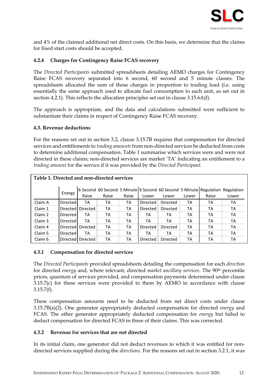

and 4% of the claimed additional net direct costs. On this basis, we determine that the claims for fixed start costs should be accepted.

#### <span id="page-11-0"></span>**4.2.4 Charges for Contingency Raise FCAS recovery**

The *Directed Participants* submitted spreadsheets detailing AEMO charges for Contingency Raise FCAS recovery separated into 6 second, 60 second and 5 minute classes. The spreadsheets allocated the sum of those charges in proportion to trading load (i.e. using essentially the same approach used to allocate fuel consumption to each unit, as set out in section [4.2.1\)](#page-9-3). This reflects the allocation principles set out in clause 3.15.6A(f).

The approach is appropriate, and the data and calculations submitted were sufficient to substantiate their claims in respect of Contingency Raise FCAS recovery.

#### <span id="page-11-1"></span>**4.3. Revenue deductions**

For the reasons set out in section [3.2,](#page-8-0) clause 3.15.7B requires that compensation for directed services and entitlements to *trading amounts*from non-directed services be deducted from costs to determine additional compensation. [Table 1](#page-11-4) summarise which services were and were not directed in these claims; non-directed services are market 'TA' indicating an entitlement to a *trading amount* for the service if it was provided by the *Directed Participant*.

<span id="page-11-4"></span>

| Table 1. Directed and non-directed services |                 |                     |       |       |          |          |       |       |                                                                               |  |
|---------------------------------------------|-----------------|---------------------|-------|-------|----------|----------|-------|-------|-------------------------------------------------------------------------------|--|
|                                             | Energy          |                     |       |       |          |          |       |       | 6 Second 60 Second 5 Minute 6 Second 60 Second 5 Minute Regulation Regulation |  |
|                                             |                 | Raise               | Raise | Raise | Lower    | Lower    | Lower | Raise | Lower                                                                         |  |
| Claim A                                     | Directed        | ТA                  | ТA    | ТA    | Directed | Directed | ТA    | ТA    | ТA                                                                            |  |
| Claim 1                                     |                 | Directed Directed   | ТA    | ТA    | Directed | Directed | ТA    | ТA    | ТA                                                                            |  |
| Claim 2                                     | <b>Directed</b> | ТA                  | ТA    | ТA    | ТA       | TA       | ТA    | ТA    | ТA                                                                            |  |
| Claim 3                                     | <b>Directed</b> | ТA                  | ТA    | ТA    | ТA       | ТA       | ТA    | ТA    | ТA                                                                            |  |
| Claim 4                                     |                 | Directed Directed   | ТA    | ТA    | Directed | Directed | ТA    | ТA    | ТA                                                                            |  |
| Claim 5                                     | Directed        | ТA                  | TА    | ТA    | ТA       | TA       | ТA    | ТA    | ТA                                                                            |  |
| Claim 6                                     |                 | Directed   Directed | ТA    | ТA    | Directed | Directed | ТA    | ТA    | ТA                                                                            |  |

#### <span id="page-11-2"></span>**4.3.1 Compensation for directed services**

The *Directed Participants* provided spreadsheets detailing the compensation for each *direction* for directed *energy* and, where relevant, directed *market ancillary services*. The 90th percentile prices, quantum of services provided, and compensation payments determined under clause 3.15.7(c) for these services were provided to them by AEMO in accordance with clause  $3.15.7(f).$ 

These compensation amounts need to be deducted from net direct costs under clause 3.15.7B(a)(2). One generator appropriately deducted compensation for directed *energy* and FCAS. The other generator appropriately deducted compensation for *energy* but failed to deduct compensation for directed FCAS in three of their claims. This was corrected.

#### <span id="page-11-3"></span>**4.3.2 Revenue for services that are not directed**

In its initial claim, one generator did not deduct revenues to which it was entitled for nondirected services supplied during the *directions*. For the reasons set out in section [3.2.1,](#page-8-1) it was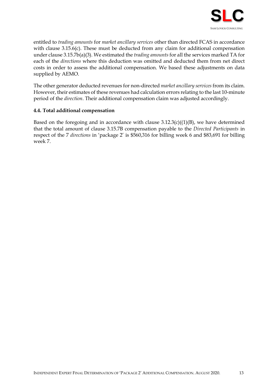

entitled to *trading amounts* for *market ancillary services* other than directed FCAS in accordance with clause 3.15.6(c). These must be deducted from any claim for additional compensation under clause 3.15.7b(a)(3). We estimated the *trading amounts* for all the services marked TA for each of the *directions* where this deduction was omitted and deducted them from net direct costs in order to assess the additional compensation. We based these adjustments on data supplied by AEMO.

The other generator deducted revenues for non-directed *market ancillary services* from its claim. However, their estimates of these revenues had calculation errors relating to the last 10-minute period of the *direction*. Their additional compensation claim was adjusted accordingly.

#### <span id="page-12-0"></span>**4.4. Total additional compensation**

Based on the foregoing and in accordance with clause  $3.12.3(c)((1)(B))$ , we have determined that the total amount of clause 3.15.7B compensation payable to the *Directed Participants* in respect of the 7 *directions* in 'package 2' is \$560,316 for billing week 6 and \$83,691 for billing week 7.